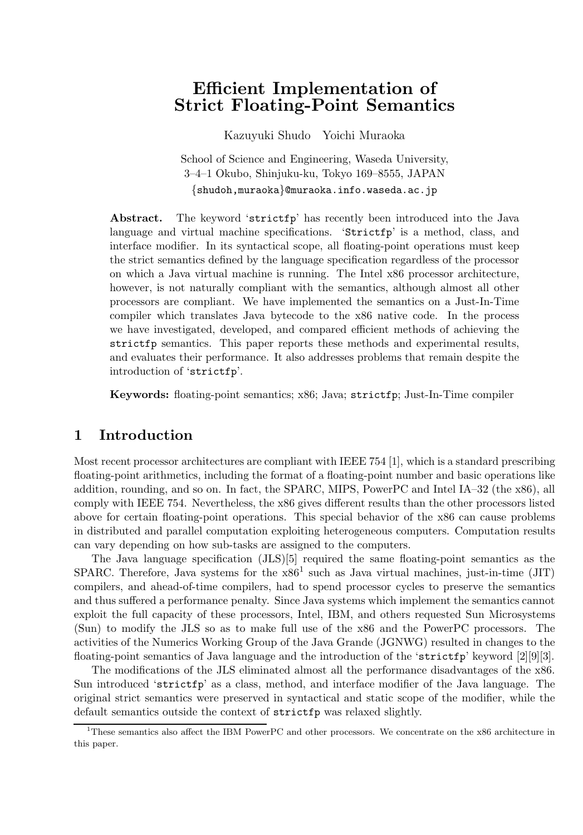# **Efficient Implementation of Strict Floating-Point Semantics**

Kazuyuki Shudo Yoichi Muraoka

School of Science and Engineering, Waseda University, 3–4–1 Okubo, Shinjuku-ku, Tokyo 169–8555, JAPAN {shudoh,muraoka}@muraoka.info.waseda.ac.jp

**Abstract.** The keyword 'strictfp' has recently been introduced into the Java language and virtual machine specifications. 'Strictfp' is a method, class, and interface modifier. In its syntactical scope, all floating-point operations must keep the strict semantics defined by the language specification regardless of the processor on which a Java virtual machine is running. The Intel x86 processor architecture, however, is not naturally compliant with the semantics, although almost all other processors are compliant. We have implemented the semantics on a Just-In-Time compiler which translates Java bytecode to the x86 native code. In the process we have investigated, developed, and compared efficient methods of achieving the strictfp semantics. This paper reports these methods and experimental results, and evaluates their performance. It also addresses problems that remain despite the introduction of 'strictfp'.

**Keywords:** floating-point semantics; x86; Java; strictfp; Just-In-Time compiler

### **1 Introduction**

Most recent processor architectures are compliant with IEEE 754 [1], which is a standard prescribing floating-point arithmetics, including the format of a floating-point number and basic operations like addition, rounding, and so on. In fact, the SPARC, MIPS, PowerPC and Intel IA–32 (the x86), all comply with IEEE 754. Nevertheless, the x86 gives different results than the other processors listed above for certain floating-point operations. This special behavior of the x86 can cause problems in distributed and parallel computation exploiting heterogeneous computers. Computation results can vary depending on how sub-tasks are assigned to the computers.

The Java language specification (JLS)[5] required the same floating-point semantics as the SPARC. Therefore, Java systems for the  $x86<sup>1</sup>$  such as Java virtual machines, just-in-time (JIT) compilers, and ahead-of-time compilers, had to spend processor cycles to preserve the semantics and thus suffered a performance penalty. Since Java systems which implement the semantics cannot exploit the full capacity of these processors, Intel, IBM, and others requested Sun Microsystems (Sun) to modify the JLS so as to make full use of the x86 and the PowerPC processors. The activities of the Numerics Working Group of the Java Grande (JGNWG) resulted in changes to the floating-point semantics of Java language and the introduction of the 'strictfp' keyword [2][9][3].

The modifications of the JLS eliminated almost all the performance disadvantages of the x86. Sun introduced 'strictfp' as a class, method, and interface modifier of the Java language. The original strict semantics were preserved in syntactical and static scope of the modifier, while the default semantics outside the context of strictfp was relaxed slightly.

 $1$ <sup>1</sup>These semantics also affect the IBM PowerPC and other processors. We concentrate on the x86 architecture in this paper.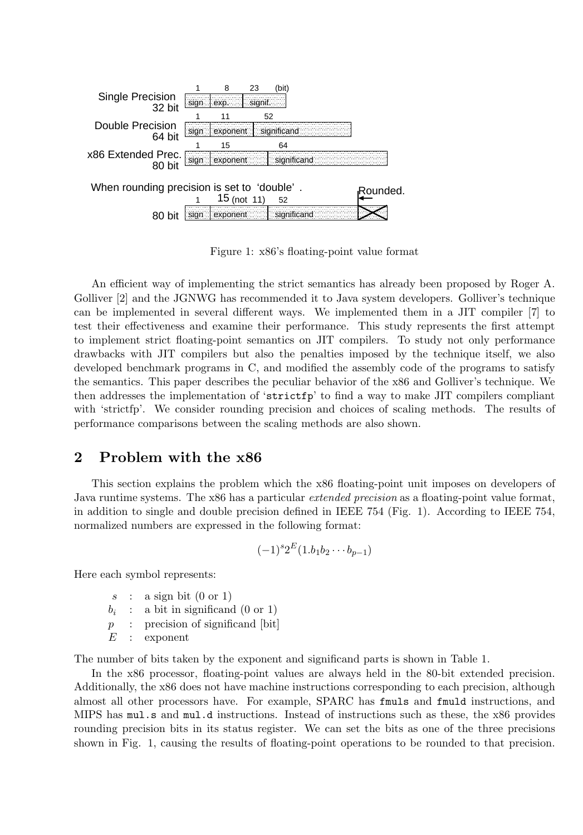

Figure 1: x86's floating-point value format

An efficient way of implementing the strict semantics has already been proposed by Roger A. Golliver [2] and the JGNWG has recommended it to Java system developers. Golliver's technique can be implemented in several different ways. We implemented them in a JIT compiler [7] to test their effectiveness and examine their performance. This study represents the first attempt to implement strict floating-point semantics on JIT compilers. To study not only performance drawbacks with JIT compilers but also the penalties imposed by the technique itself, we also developed benchmark programs in C, and modified the assembly code of the programs to satisfy the semantics. This paper describes the peculiar behavior of the x86 and Golliver's technique. We then addresses the implementation of 'strictfp' to find a way to make JIT compilers compliant with 'strictfp'. We consider rounding precision and choices of scaling methods. The results of performance comparisons between the scaling methods are also shown.

#### **2 Problem with the x86**

This section explains the problem which the x86 floating-point unit imposes on developers of Java runtime systems. The x86 has a particular *extended precision* as a floating-point value format, in addition to single and double precision defined in IEEE 754 (Fig. 1). According to IEEE 754, normalized numbers are expressed in the following format:

$$
(-1)^{s}2^{E}(1.b_1b_2\cdots b_{p-1})
$$

Here each symbol represents:

- $s$  : a sign bit  $(0 \text{ or } 1)$ <br> $b_i$  : a bit in significance
- $b_i$  : a bit in significand (0 or 1)<br>  $p$  : precision of significand [bit
- $p :$  precision of significand [bit]<br> $E :$  exponent
- exponent

The number of bits taken by the exponent and significand parts is shown in Table 1.

In the x86 processor, floating-point values are always held in the 80-bit extended precision. Additionally, the x86 does not have machine instructions corresponding to each precision, although almost all other processors have. For example, SPARC has fmuls and fmuld instructions, and MIPS has mul.s and mul.d instructions. Instead of instructions such as these, the x86 provides rounding precision bits in its status register. We can set the bits as one of the three precisions shown in Fig. 1, causing the results of floating-point operations to be rounded to that precision.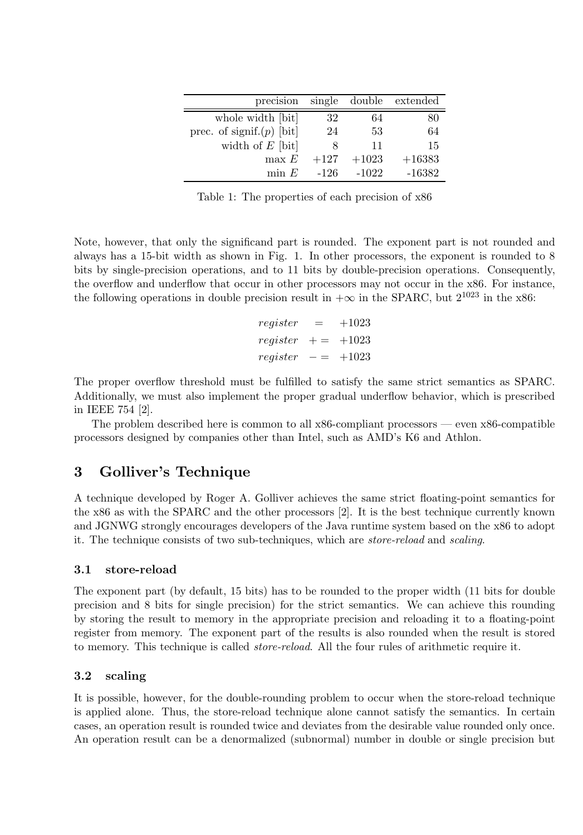| single   |         | double extended |
|----------|---------|-----------------|
| 32       | 64      | 80              |
| 24       | 53      | 64              |
| $\aleph$ | 11      | 15              |
| $+127$   | $+1023$ | $+16383$        |
| $-126$   | $-1022$ | $-16382$        |
|          |         |                 |

Table 1: The properties of each precision of x86

Note, however, that only the significand part is rounded. The exponent part is not rounded and always has a 15-bit width as shown in Fig. 1. In other processors, the exponent is rounded to 8 bits by single-precision operations, and to 11 bits by double-precision operations. Consequently, the overflow and underflow that occur in other processors may not occur in the x86. For instance, the following operations in double precision result in  $+\infty$  in the SPARC, but  $2^{1023}$  in the x86:

$$
register = +1023
$$
\n
$$
register += +1023
$$
\n
$$
register -= +1023
$$

The proper overflow threshold must be fulfilled to satisfy the same strict semantics as SPARC. Additionally, we must also implement the proper gradual underflow behavior, which is prescribed in IEEE 754 [2].

The problem described here is common to all x86-compliant processors — even x86-compatible processors designed by companies other than Intel, such as AMD's K6 and Athlon.

## **3 Golliver's Technique**

A technique developed by Roger A. Golliver achieves the same strict floating-point semantics for the x86 as with the SPARC and the other processors [2]. It is the best technique currently known and JGNWG strongly encourages developers of the Java runtime system based on the x86 to adopt it. The technique consists of two sub-techniques, which are *store-reload* and *scaling*.

#### **3.1 store-reload**

The exponent part (by default, 15 bits) has to be rounded to the proper width (11 bits for double precision and 8 bits for single precision) for the strict semantics. We can achieve this rounding by storing the result to memory in the appropriate precision and reloading it to a floating-point register from memory. The exponent part of the results is also rounded when the result is stored to memory. This technique is called *store-reload*. All the four rules of arithmetic require it.

#### **3.2 scaling**

It is possible, however, for the double-rounding problem to occur when the store-reload technique is applied alone. Thus, the store-reload technique alone cannot satisfy the semantics. In certain cases, an operation result is rounded twice and deviates from the desirable value rounded only once. An operation result can be a denormalized (subnormal) number in double or single precision but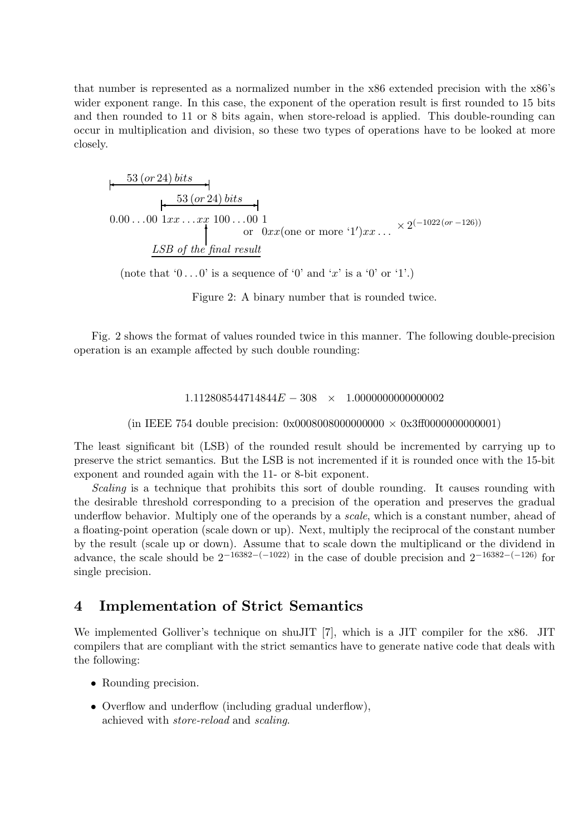that number is represented as a normalized number in the x86 extended precision with the x86's wider exponent range. In this case, the exponent of the operation result is first rounded to 15 bits and then rounded to 11 or 8 bits again, when store-reload is applied. This double-rounding can occur in multiplication and division, so these two types of operations have to be looked at more closely.

$$
\begin{array}{c}\n+ \xrightarrow{53 \text{ (or 24) bits}} \\
+ \xrightarrow{53 \text{ (or 24) bits}} \\
0.00 \dots 00 \text{ 1} x x \dots x x 100 \dots 00 1 \\
\text{or } 0 x x (\text{one or more '1'}) x x \dots \times 2^{(-1022 \text{ (or } -126))} \\
\downarrow \text{LSB of the final result}\n\end{array}
$$

(note that  $0 \ldots 0'$  is a sequence of  $0'$  and  $x'$  is a  $0'$  or  $(1')$ .)

Figure 2: A binary number that is rounded twice.

Fig. 2 shows the format of values rounded twice in this manner. The following double-precision operation is an example affected by such double rounding:

 $1.112808544714844E - 308 \times 1.000000000000002$ 

(in IEEE 754 double precision:  $0x00080080000000000 \times 0x3f00000000000001$ )

The least significant bit (LSB) of the rounded result should be incremented by carrying up to preserve the strict semantics. But the LSB is not incremented if it is rounded once with the 15-bit exponent and rounded again with the 11- or 8-bit exponent.

*Scaling* is a technique that prohibits this sort of double rounding. It causes rounding with the desirable threshold corresponding to a precision of the operation and preserves the gradual underflow behavior. Multiply one of the operands by a *scale*, which is a constant number, ahead of a floating-point operation (scale down or up). Next, multiply the reciprocal of the constant number by the result (scale up or down). Assume that to scale down the multiplicand or the dividend in advance, the scale should be  $2^{-16382-(-1022)}$  in the case of double precision and  $2^{-16382-(-126)}$  for single precision.

## **4 Implementation of Strict Semantics**

We implemented Golliver's technique on shuJIT [7], which is a JIT compiler for the x86. JIT compilers that are compliant with the strict semantics have to generate native code that deals with the following:

- Rounding precision.
- Overflow and underflow (including gradual underflow), achieved with *store-reload* and *scaling*.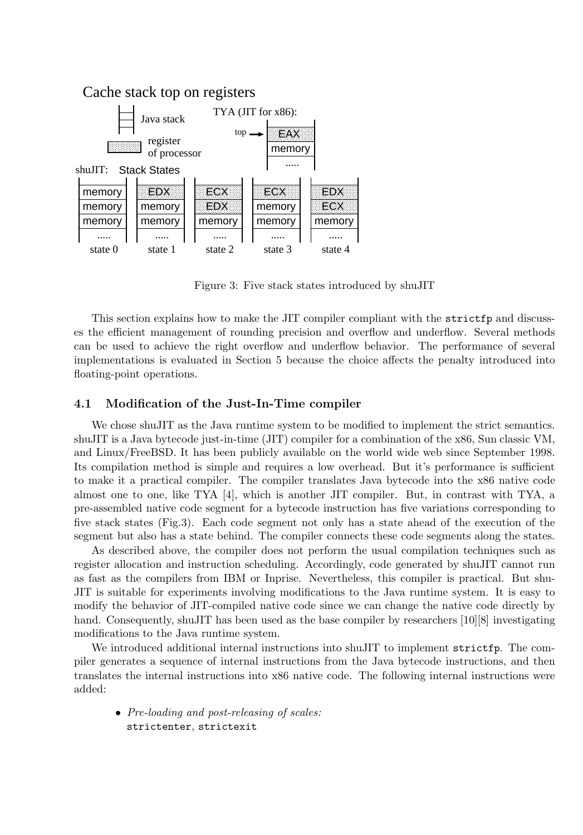

Figure 3: Five stack states introduced by shuJIT

This section explains how to make the JIT compiler compliant with the strictfp and discusses the efficient management of rounding precision and overflow and underflow. Several methods can be used to achieve the right overflow and underflow behavior. The performance of several implementations is evaluated in Section 5 because the choice affects the penalty introduced into floating-point operations.

#### **4.1 Modification of the Just-In-Time compiler**

We chose shuJIT as the Java runtime system to be modified to implement the strict semantics. shuJIT is a Java bytecode just-in-time (JIT) compiler for a combination of the x86, Sun classic VM, and Linux/FreeBSD. It has been publicly available on the world wide web since September 1998. Its compilation method is simple and requires a low overhead. But it's performance is sufficient to make it a practical compiler. The compiler translates Java bytecode into the x86 native code almost one to one, like TYA [4], which is another JIT compiler. But, in contrast with TYA, a pre-assembled native code segment for a bytecode instruction has five variations corresponding to five stack states (Fig.3). Each code segment not only has a state ahead of the execution of the segment but also has a state behind. The compiler connects these code segments along the states.

As described above, the compiler does not perform the usual compilation techniques such as register allocation and instruction scheduling. Accordingly, code generated by shuJIT cannot run as fast as the compilers from IBM or Inprise. Nevertheless, this compiler is practical. But shu-JIT is suitable for experiments involving modifications to the Java runtime system. It is easy to modify the behavior of JIT-compiled native code since we can change the native code directly by hand. Consequently, shuJIT has been used as the base compiler by researchers [10][8] investigating modifications to the Java runtime system.

We introduced additional internal instructions into shuJIT to implement strictfp. The compiler generates a sequence of internal instructions from the Java bytecode instructions, and then translates the internal instructions into x86 native code. The following internal instructions were added:

• *Pre-loading and post-releasing of scales:* strictenter, strictexit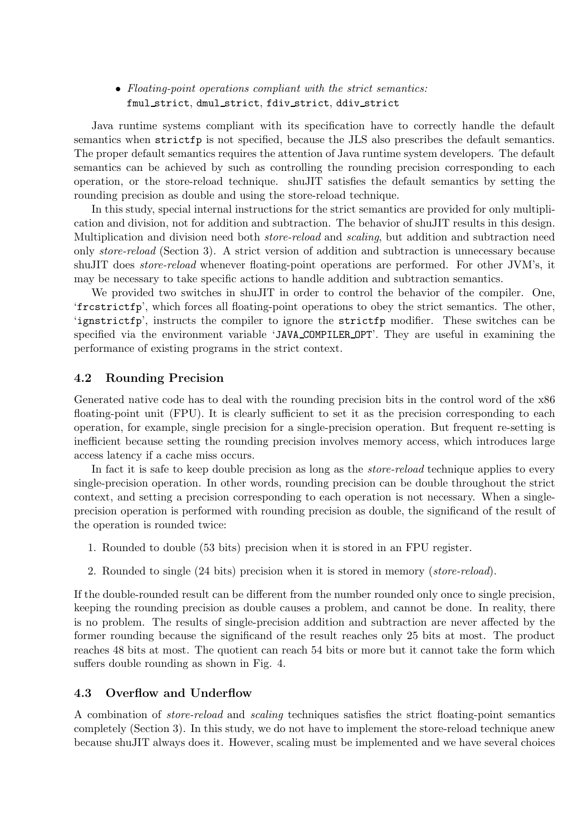#### • *Floating-point operations compliant with the strict semantics:* fmul strict, dmul strict, fdiv strict, ddiv strict

Java runtime systems compliant with its specification have to correctly handle the default semantics when strictfp is not specified, because the JLS also prescribes the default semantics. The proper default semantics requires the attention of Java runtime system developers. The default semantics can be achieved by such as controlling the rounding precision corresponding to each operation, or the store-reload technique. shuJIT satisfies the default semantics by setting the rounding precision as double and using the store-reload technique.

In this study, special internal instructions for the strict semantics are provided for only multiplication and division, not for addition and subtraction. The behavior of shuJIT results in this design. Multiplication and division need both *store-reload* and *scaling*, but addition and subtraction need only *store-reload* (Section 3). A strict version of addition and subtraction is unnecessary because shuJIT does *store-reload* whenever floating-point operations are performed. For other JVM's, it may be necessary to take specific actions to handle addition and subtraction semantics.

We provided two switches in shuJIT in order to control the behavior of the compiler. One, 'frcstrictfp', which forces all floating-point operations to obey the strict semantics. The other, 'ignstrictfp', instructs the compiler to ignore the strictfp modifier. These switches can be specified via the environment variable 'JAVA COMPILER OPT'. They are useful in examining the performance of existing programs in the strict context.

#### **4.2 Rounding Precision**

Generated native code has to deal with the rounding precision bits in the control word of the x86 floating-point unit (FPU). It is clearly sufficient to set it as the precision corresponding to each operation, for example, single precision for a single-precision operation. But frequent re-setting is inefficient because setting the rounding precision involves memory access, which introduces large access latency if a cache miss occurs.

In fact it is safe to keep double precision as long as the *store-reload* technique applies to every single-precision operation. In other words, rounding precision can be double throughout the strict context, and setting a precision corresponding to each operation is not necessary. When a singleprecision operation is performed with rounding precision as double, the significand of the result of the operation is rounded twice:

- 1. Rounded to double (53 bits) precision when it is stored in an FPU register.
- 2. Rounded to single (24 bits) precision when it is stored in memory (*store-reload*).

If the double-rounded result can be different from the number rounded only once to single precision, keeping the rounding precision as double causes a problem, and cannot be done. In reality, there is no problem. The results of single-precision addition and subtraction are never affected by the former rounding because the significand of the result reaches only 25 bits at most. The product reaches 48 bits at most. The quotient can reach 54 bits or more but it cannot take the form which suffers double rounding as shown in Fig. 4.

#### **4.3 Overflow and Underflow**

A combination of *store-reload* and *scaling* techniques satisfies the strict floating-point semantics completely (Section 3). In this study, we do not have to implement the store-reload technique anew because shuJIT always does it. However, scaling must be implemented and we have several choices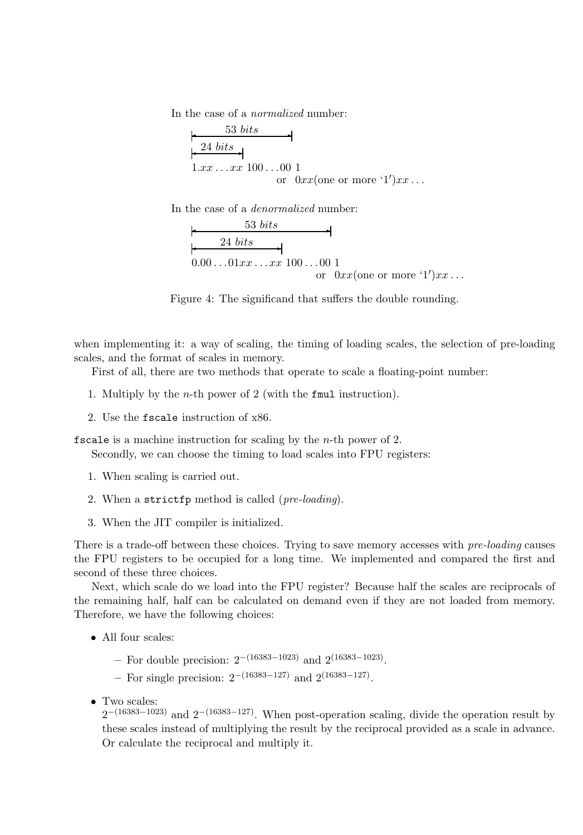In the case of a *normalized* number:

$$
\begin{array}{c}\n 53 bits \\
 \hline\n +24 bits \\
 1.xx ... xx 100 ...00 1 \\
 \text{or } 0xx(\text{one or more '1'}) xx ... \n\end{array}
$$

In the case of a *denormalized* number:

$$
\begin{array}{c}\n 53 bits \\
 \hline\n 24 bits \\
 0.00...01 xx...xx 100...00 1 \\
 \text{or } 0 xx (one or more '1') xx... \n\end{array}
$$



when implementing it: a way of scaling, the timing of loading scales, the selection of pre-loading scales, and the format of scales in memory.

First of all, there are two methods that operate to scale a floating-point number:

- 1. Multiply by the n-th power of 2 (with the fmul instruction).
- 2. Use the fscale instruction of x86.

fscale is a machine instruction for scaling by the  $n$ -th power of 2.

Secondly, we can choose the timing to load scales into FPU registers:

- 1. When scaling is carried out.
- 2. When a strictfp method is called (*pre-loading*).
- 3. When the JIT compiler is initialized.

There is a trade-off between these choices. Trying to save memory accesses with *pre-loading* causes the FPU registers to be occupied for a long time. We implemented and compared the first and second of these three choices.

Next, which scale do we load into the FPU register? Because half the scales are reciprocals of the remaining half, half can be calculated on demand even if they are not loaded from memory. Therefore, we have the following choices:

- All four scales:
	- **–** For double precision: 2−(16383−1023) and 2(16383−1023).
	- **–** For single precision: 2−(16383−127) and 2(16383−127).
- Two scales:

 $2^{-(16383-1023)}$  and  $2^{-(16383-127)}$ . When post-operation scaling, divide the operation result by these scales instead of multiplying the result by the reciprocal provided as a scale in advance. Or calculate the reciprocal and multiply it.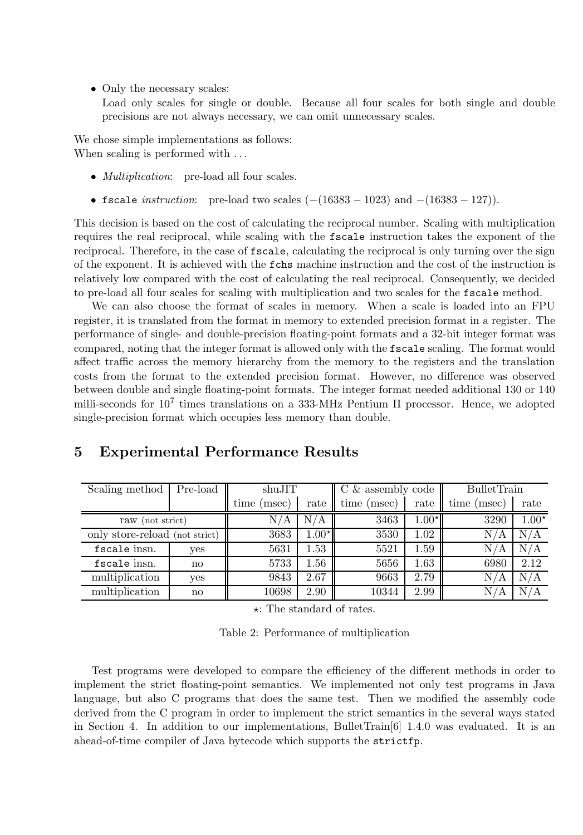• Only the necessary scales:

Load only scales for single or double. Because all four scales for both single and double precisions are not always necessary, we can omit unnecessary scales.

We chose simple implementations as follows: When scaling is performed with ...

- *Multiplication*: pre-load all four scales.
- fscale *instruction*: pre-load two scales (−(16383 − 1023) and −(16383 − 127)).

This decision is based on the cost of calculating the reciprocal number. Scaling with multiplication requires the real reciprocal, while scaling with the fscale instruction takes the exponent of the reciprocal. Therefore, in the case of fscale, calculating the reciprocal is only turning over the sign of the exponent. It is achieved with the fchs machine instruction and the cost of the instruction is relatively low compared with the cost of calculating the real reciprocal. Consequently, we decided to pre-load all four scales for scaling with multiplication and two scales for the fscale method.

We can also choose the format of scales in memory. When a scale is loaded into an FPU register, it is translated from the format in memory to extended precision format in a register. The performance of single- and double-precision floating-point formats and a 32-bit integer format was compared, noting that the integer format is allowed only with the fscale scaling. The format would affect traffic across the memory hierarchy from the memory to the registers and the translation costs from the format to the extended precision format. However, no difference was observed between double and single floating-point formats. The integer format needed additional 130 or 140 milli-seconds for  $10<sup>7</sup>$  times translations on a 333-MHz Pentium II processor. Hence, we adopted single-precision format which occupies less memory than double.

## **5 Experimental Performance Results**

| Scaling method                 | Pre-load               | shuJIT        |                         | $C \&$ assembly code |          | <b>BulletTrain</b> |         |
|--------------------------------|------------------------|---------------|-------------------------|----------------------|----------|--------------------|---------|
|                                |                        | time<br>msec) | rate                    | time (msec)          | rate     | time<br>msec)      | rate    |
| raw (not strict)               |                        | N/A           | $\mathrm{N}/\mathrm{A}$ | 3463                 | $1.00^*$ | 3290               | $1.00*$ |
| only store-reload (not strict) |                        | 3683          | $1.00*$                 | 3530                 | 1.02     | N/<br>A            | N/A     |
| fscale insn.                   | yes                    | 5631          | 1.53                    | 5521                 | 1.59     | N/<br>А            | N/A     |
| fscale insn.                   | $\mathbf{n}\mathbf{o}$ | 5733          | 1.56                    | 5656                 | 1.63     | 6980               | 2.12    |
| multiplication                 | yes                    | 9843          | 2.67                    | 9663                 | 2.79     | N/<br>A            | N/A     |
| multiplication                 | no                     | 10698         | 2.90                    | 10344                | 2.99     | N/                 |         |

: The standard of rates.

| Table 2: Performance of multiplication |  |  |
|----------------------------------------|--|--|
|----------------------------------------|--|--|

Test programs were developed to compare the efficiency of the different methods in order to implement the strict floating-point semantics. We implemented not only test programs in Java language, but also C programs that does the same test. Then we modified the assembly code derived from the C program in order to implement the strict semantics in the several ways stated in Section 4. In addition to our implementations, BulletTrain $[6]$  1.4.0 was evaluated. It is an ahead-of-time compiler of Java bytecode which supports the strictfp.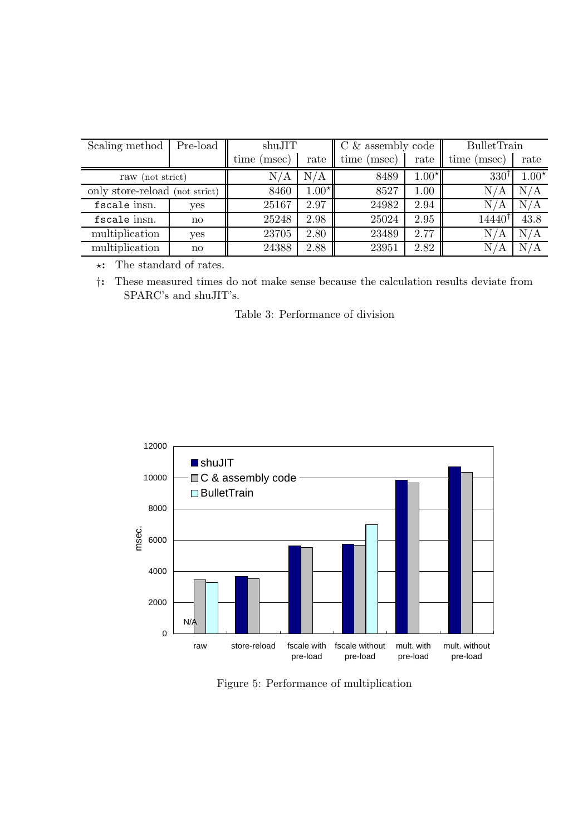| Scaling method                 | Pre-load               | shuJIT         |         | $C \&$ assembly code |         | <b>BulletTrain</b> |                         |
|--------------------------------|------------------------|----------------|---------|----------------------|---------|--------------------|-------------------------|
|                                |                        | time<br>(msec) | rate    | time (msec)          | rate    | time (<br>(msec)   | rate                    |
| raw (not strict)               |                        | ΄Α             | N/A     | 8489                 | $1.00*$ | $330^{\dagger}$    | $1.00*$                 |
| only store-reload (not strict) |                        | 8460           | $1.00*$ | 8527                 | 1.00    | N/<br>A            | N/A                     |
| fscale insn.                   | yes                    | 25167          | 2.97    | 24982                | 2.94    | N/<br>A            | $\mathrm{N}/\mathrm{A}$ |
| fscale insn.                   | no                     | 25248          | 2.98    | 25024                | 2.95    | 14440†             | 43.8                    |
| multiplication                 | yes                    | 23705          | 2.80    | 23489                | 2.77    | N/<br>A            | N/A                     |
| multiplication                 | $\mathbf{n}\mathbf{o}$ | 24388          | 2.88    | 23951                | 2.82    | N/<br>А            | N<br>/A                 |

\*: The standard of rates.<br>†: These measured times

†**:** These measured times do not make sense because the calculation results deviate from SPARC's and shuJIT's.

Table 3: Performance of division



Figure 5: Performance of multiplication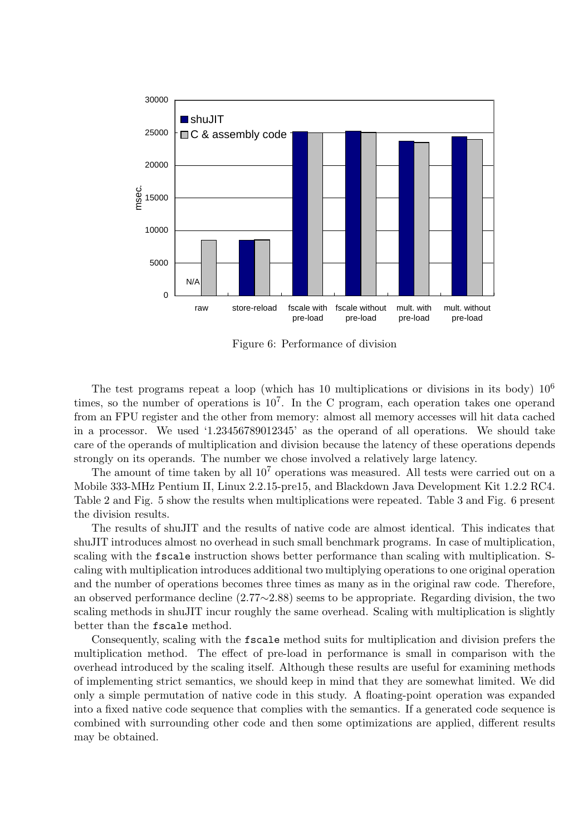

Figure 6: Performance of division

The test programs repeat a loop (which has 10 multiplications or divisions in its body)  $10^6$ times, so the number of operations is  $10^7$ . In the C program, each operation takes one operand from an FPU register and the other from memory: almost all memory accesses will hit data cached in a processor. We used '1.23456789012345' as the operand of all operations. We should take care of the operands of multiplication and division because the latency of these operations depends strongly on its operands. The number we chose involved a relatively large latency.

The amount of time taken by all  $10^7$  operations was measured. All tests were carried out on a Mobile 333-MHz Pentium II, Linux 2.2.15-pre15, and Blackdown Java Development Kit 1.2.2 RC4. Table 2 and Fig. 5 show the results when multiplications were repeated. Table 3 and Fig. 6 present the division results.

The results of shuJIT and the results of native code are almost identical. This indicates that shuJIT introduces almost no overhead in such small benchmark programs. In case of multiplication, scaling with the fscale instruction shows better performance than scaling with multiplication. Scaling with multiplication introduces additional two multiplying operations to one original operation and the number of operations becomes three times as many as in the original raw code. Therefore, an observed performance decline (2.77∼2.88) seems to be appropriate. Regarding division, the two scaling methods in shuJIT incur roughly the same overhead. Scaling with multiplication is slightly better than the fscale method.

Consequently, scaling with the fscale method suits for multiplication and division prefers the multiplication method. The effect of pre-load in performance is small in comparison with the overhead introduced by the scaling itself. Although these results are useful for examining methods of implementing strict semantics, we should keep in mind that they are somewhat limited. We did only a simple permutation of native code in this study. A floating-point operation was expanded into a fixed native code sequence that complies with the semantics. If a generated code sequence is combined with surrounding other code and then some optimizations are applied, different results may be obtained.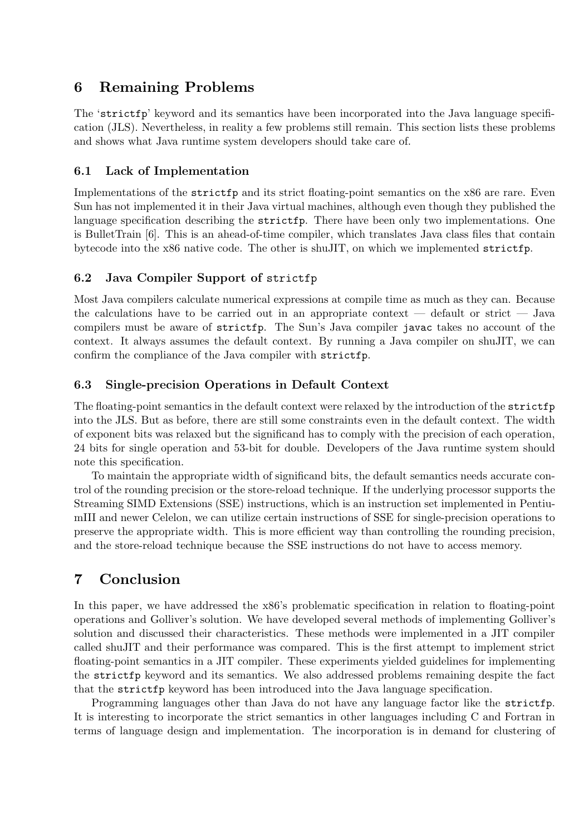## **6 Remaining Problems**

The 'strictfp' keyword and its semantics have been incorporated into the Java language specification (JLS). Nevertheless, in reality a few problems still remain. This section lists these problems and shows what Java runtime system developers should take care of.

## **6.1 Lack of Implementation**

Implementations of the strictfp and its strict floating-point semantics on the x86 are rare. Even Sun has not implemented it in their Java virtual machines, although even though they published the language specification describing the strictfp. There have been only two implementations. One is BulletTrain [6]. This is an ahead-of-time compiler, which translates Java class files that contain bytecode into the x86 native code. The other is shuJIT, on which we implemented strictfp.

## **6.2 Java Compiler Support of** strictfp

Most Java compilers calculate numerical expressions at compile time as much as they can. Because the calculations have to be carried out in an appropriate context — default or strict — Java compilers must be aware of strictfp. The Sun's Java compiler javac takes no account of the context. It always assumes the default context. By running a Java compiler on shuJIT, we can confirm the compliance of the Java compiler with strictfp.

## **6.3 Single-precision Operations in Default Context**

The floating-point semantics in the default context were relaxed by the introduction of the strictfp into the JLS. But as before, there are still some constraints even in the default context. The width of exponent bits was relaxed but the significand has to comply with the precision of each operation, 24 bits for single operation and 53-bit for double. Developers of the Java runtime system should note this specification.

To maintain the appropriate width of significand bits, the default semantics needs accurate control of the rounding precision or the store-reload technique. If the underlying processor supports the Streaming SIMD Extensions (SSE) instructions, which is an instruction set implemented in PentiumIII and newer Celelon, we can utilize certain instructions of SSE for single-precision operations to preserve the appropriate width. This is more efficient way than controlling the rounding precision, and the store-reload technique because the SSE instructions do not have to access memory.

# **7 Conclusion**

In this paper, we have addressed the x86's problematic specification in relation to floating-point operations and Golliver's solution. We have developed several methods of implementing Golliver's solution and discussed their characteristics. These methods were implemented in a JIT compiler called shuJIT and their performance was compared. This is the first attempt to implement strict floating-point semantics in a JIT compiler. These experiments yielded guidelines for implementing the strictfp keyword and its semantics. We also addressed problems remaining despite the fact that the strictfp keyword has been introduced into the Java language specification.

Programming languages other than Java do not have any language factor like the strictfp. It is interesting to incorporate the strict semantics in other languages including C and Fortran in terms of language design and implementation. The incorporation is in demand for clustering of